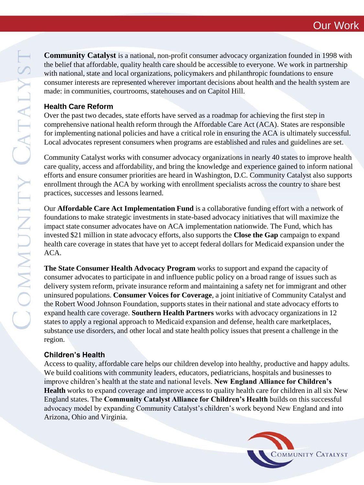COMMUNITY CATALYST

**Community Catalyst** is a national, non-profit consumer advocacy organization founded in 1998 with the belief that affordable, quality health care should be accessible to everyone. We work in partnership with national, state and local organizations, policymakers and philanthropic foundations to ensure consumer interests are represented wherever important decisions about health and the health system are made: in communities, courtrooms, statehouses and on Capitol Hill.

## **Health Care Reform**

Over the past two decades, state efforts have served as a roadmap for achieving the first step in comprehensive national health reform through the Affordable Care Act (ACA). States are responsible for implementing national policies and have a critical role in ensuring the ACA is ultimately successful. Local advocates represent consumers when programs are established and rules and guidelines are set.

Community Catalyst works with consumer advocacy organizations in nearly 40 states to improve health care quality, access and affordability, and bring the knowledge and experience gained to inform national efforts and ensure consumer priorities are heard in Washington, D.C. Community Catalyst also supports enrollment through the ACA by working with enrollment specialists across the country to share best practices, successes and lessons learned.

Our **Affordable Care Act Implementation Fund** is a collaborative funding effort with a network of foundations to make strategic investments in state-based advocacy initiatives that will maximize the impact state consumer advocates have on ACA implementation nationwide. The Fund, which has invested \$21 million in state advocacy efforts, also supports the **Close the Gap** campaign to expand health care coverage in states that have yet to accept federal dollars for Medicaid expansion under the ACA.

**The State Consumer Health Advocacy Program** works to support and expand the capacity of consumer advocates to participate in and influence public policy on a broad range of issues such as delivery system reform, private insurance reform and maintaining a safety net for immigrant and other uninsured populations. **Consumer Voices for Coverage**, a joint initiative of Community Catalyst and the Robert Wood Johnson Foundation, supports states in their national and state advocacy efforts to expand health care coverage. **Southern Health Partners** works with advocacy organizations in 12 states to apply a regional approach to Medicaid expansion and defense, health care marketplaces, substance use disorders, and other local and state health policy issues that present a challenge in the region.

# **Children's Health**

Access to quality, affordable care helps our children develop into healthy, productive and happy adults. We build coalitions with community leaders, educators, pediatricians, hospitals and businesses to improve children's health at the state and national levels. **New England Alliance for Children's Health** works to expand coverage and improve access to quality health care for children in all six New England states. The **Community Catalyst Alliance for Children's Health** builds on this successful advocacy model by expanding Community Catalyst's children's work beyond New England and into Arizona, Ohio and Virginia.